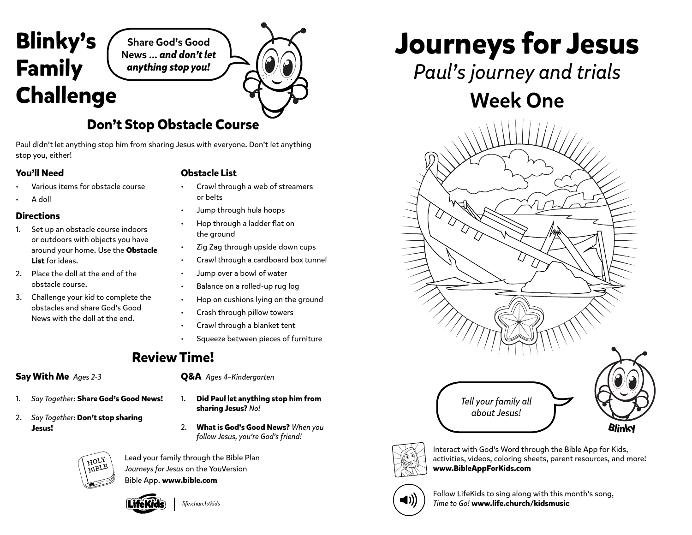# **Blinky's Family Challenge**

Share God's Good News … *and don't let anything stop you!*

## **Don't Stop Obstacle Course**

Paul didn't let anything stop him from sharing Jesus with everyone. Don't let anything stop you, either!

#### **You'll Need**

#### **Obstacle List**

- Various items for obstacle course
- A doll
- **Directions**
- 1. Set up an obstacle course indoors or outdoors with objects you have around your home. Use the **Obstacle List** for ideas.
- 2. Place the doll at the end of the obstacle course.
- 3. Challenge your kid to complete the obstacles and share God's Good News with the doll at the end.
- Crawl through a web of streamers or belts
- Jump through hula hoops
- Hop through a ladder flat on the ground
- Zig Zag through upside down cups
- Crawl through a cardboard box tunnel
- Jump over a bowl of water
- Balance on a rolled-up rug log
- Hop on cushions lying on the ground
- Crash through pillow towers
- Crawl through a blanket tent
- Squeeze between pieces of furniture

### **Review Time!**

#### **Say With Me** *Ages 2-3*

- 1. *Say Together:* **Share God's Good News!**
- 2. *Say Together:* **Don't stop sharing Jesus!**



- 1. **Did Paul let anything stop him from sharing Jesus?** *No!*
- 2. **What is God's Good News?** *When you follow Jesus, you're God's friend!*



Lead your family through the Bible Plan *Journeys for Jesus* on the YouVersion Bible App. **www.bible.com**



*life.church/kids*

**Journeys for Jesus**

*Paul's journey and trials*

## Week One





Interact with God's Word through the Bible App for Kids, activities, videos, coloring sheets, parent resources, and more! **www.BibleAppForKids.com**



Follow LifeKids to sing along with this month's song, *Time to Go!* **www.life.church/kidsmusic**